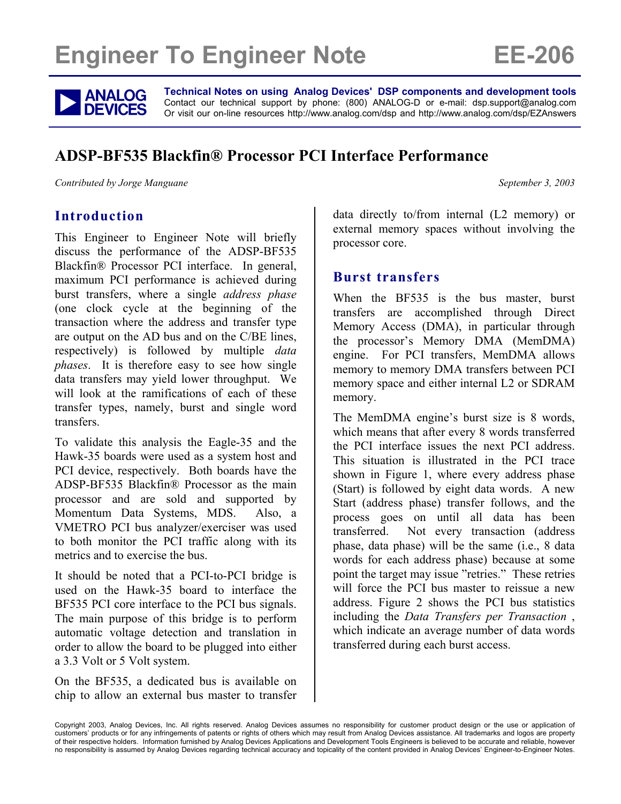# **Engineer To Engineer Note FE-206**



**ANALOG** Technical Notes on using Analog Devices' DSP components and development tools<br> **DEVICES** Or visit our on-line resources http://www.analog.com/dsp and http://www.analog.com/dsp/EZAnswers Contact our technical support by phone: (800) ANALOG-D or e-mail: dsp.support@analog.com Or visit our on-line resources http://www.analog.com/dsp and http://www.analog.com/dsp/EZAnswers

# **ADSP-BF535 Blackfin® Processor PCI Interface Performance**

*Contributed by Jorge Manguane*  $\blacksquare$  September 3, 2003

#### **Introduction**

This Engineer to Engineer Note will briefly discuss the performance of the ADSP-BF535 Blackfin® Processor PCI interface. In general, maximum PCI performance is achieved during burst transfers, where a single *address phase* (one clock cycle at the beginning of the transaction where the address and transfer type are output on the AD bus and on the C/BE lines, respectively) is followed by multiple *data phases*. It is therefore easy to see how single data transfers may yield lower throughput. We will look at the ramifications of each of these transfer types, namely, burst and single word transfers.

To validate this analysis the Eagle-35 and the Hawk-35 boards were used as a system host and PCI device, respectively. Both boards have the ADSP-BF535 Blackfin® Processor as the main processor and are sold and supported by Momentum Data Systems, MDS. Also, a VMETRO PCI bus analyzer/exerciser was used to both monitor the PCI traffic along with its metrics and to exercise the bus.

It should be noted that a PCI-to-PCI bridge is used on the Hawk-35 board to interface the BF535 PCI core interface to the PCI bus signals. The main purpose of this bridge is to perform automatic voltage detection and translation in order to allow the board to be plugged into either a 3.3 Volt or 5 Volt system.

On the BF535, a dedicated bus is available on chip to allow an external bus master to transfer data directly to/from internal (L2 memory) or external memory spaces without involving the processor core.

#### **Burst transfers**

When the BF535 is the bus master, burst transfers are accomplished through Direct Memory Access (DMA), in particular through the processor's Memory DMA (MemDMA) engine. For PCI transfers, MemDMA allows memory to memory DMA transfers between PCI memory space and either internal L2 or SDRAM memory.

The MemDMA engine's burst size is 8 words, which means that after every 8 words transferred the PCI interface issues the next PCI address. This situation is illustrated in the PCI trace shown in [Figure 1,](#page-1-0) where every address phase (Start) is followed by eight data words. A new Start (address phase) transfer follows, and the process goes on until all data has been transferred. Not every transaction (address phase, data phase) will be the same (i.e., 8 data words for each address phase) because at some point the target may issue "retries." These retries will force the PCI bus master to reissue a new address. [Figure 2](#page-1-1) shows the PCI bus statistics including the *Data Transfers per Transaction* , which indicate an average number of data words transferred during each burst access.

Copyright 2003, Analog Devices, Inc. All rights reserved. Analog Devices assumes no responsibility for customer product design or the use or application of customers' products or for any infringements of patents or rights of others which may result from Analog Devices assistance. All trademarks and logos are property of their respective holders. Information furnished by Analog Devices Applications and Development Tools Engineers is believed to be accurate and reliable, however no responsibility is assumed by Analog Devices regarding technical accuracy and topicality of the content provided in Analog Devices' Engineer-to-Engineer Notes.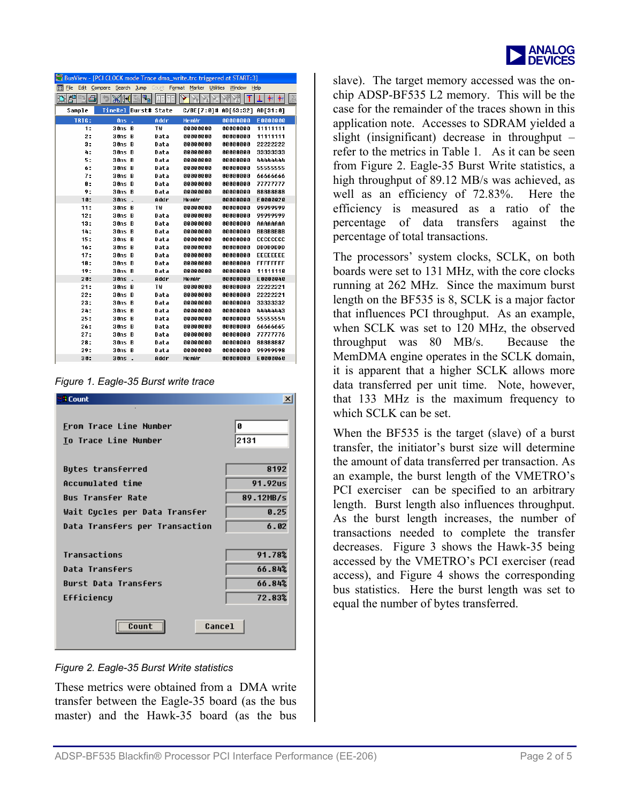| <b>ANALOG</b>    |
|------------------|
| <b>I</b> DEVICES |

<span id="page-1-0"></span>

|              |                           |      | BusView - [PCI CLOCK mode Trace dma_write.trc triggered at START:3] |                      |                 |
|--------------|---------------------------|------|---------------------------------------------------------------------|----------------------|-----------------|
| File<br>Edit |                           |      | Compare Search Jump Count Format Marker Utilities Window Help       |                      |                 |
| 囲っ<br>đ      | $\mathbb{X}$ $\mathbb{H}$ |      |                                                                     |                      | Ŧ<br>耓          |
| Sample       | TimeRel Burst# State      |      |                                                                     | C/BE[7:0]# AD[63:32] | AD[31:0]        |
| <b>TRIG:</b> | <b>Ons</b><br>÷.          | Addr | MemWr                                                               | 00000000             | E0000000        |
| 1:           | 30ns B                    | ΤW   | 00000000                                                            | 00000000             | 11111111        |
| 2:           | 30nsB                     | Data | 00000000                                                            | 00000000             | 11111111        |
| 3:           | 30ns B                    | Data | 00000000                                                            | 88888888             | 22222222        |
| 4:           | 30nsB                     | Data | 00000000                                                            | 00000000             | 33333333        |
| 5:           | 30ns B                    | Data | 00000000                                                            | 00000000             | 44444444        |
| ó:           | 30ns B                    | Data | 00000000                                                            | 00000000             | 55555555        |
| 7:           | 30ns B                    | Data | 00000000                                                            | 00000000             | 66666666        |
| 8:           | 30ns B                    | Data | 00000000                                                            | 00000000             | 77777777        |
| 9:           | 30nsB                     | Data | 00000000                                                            | 00000000             | 88888888        |
| 10:          | $30ns$ .                  | Addr | MemWr                                                               | 00000000             | E0000020        |
| 11:          | 30ns B                    | T₩   | 00000000                                                            | 00000000             | 99999999        |
| 12:          | 30ns B                    | Data | 00000000                                                            | 00000000             | 99999999        |
| 13:          | 30ns B                    | Data | 00000000                                                            | 00000000             | AAAAAAAA        |
| 14:          | 30ns B                    | Data | 00000000                                                            | 00000000             | <b>BBBBBBBB</b> |
| 15:          | 30ns B                    | Data | 00000000                                                            | 00000000             | cccccccc        |
| 16:          | 30ns B                    | Data | 00000000                                                            | 00000000             | <b>DDDDDDDD</b> |
| 17:          | 30ns B                    | Data | 00000000                                                            | 88888888             | <b>EEEEEEEE</b> |
| 18:          | 30ns B                    | Data | 00000000                                                            | 00000000             | <b>FFFFFFFF</b> |
| 19:          | 30ns B                    | Data | 00000000                                                            | 88888888             | 11111110        |
| 20:          | 30ns<br>÷.                | Addr | MemWr                                                               | 00000000             | E0000040        |
| 21:          | 30ns B                    | TW   | 00000000                                                            | 88888888             | 22222221        |
| 22:          | 30ns B                    | Data | 00000000                                                            | 00000000             | 22222221        |
| 23:          | 30ns B                    | Data | 00000000                                                            | 00000000             | 33333332        |
| 24.          | 30ns B                    | Data | 00000000                                                            | 00000000             | 44444443        |
| 25:          | 30ns B                    | Data | 00000000                                                            | 88888888             | 55555554        |
| 26:          | 30nsB                     | Data | 00000000                                                            | 88888888             | 66666665        |
| 27:          | 30nsB                     | Data | 00000000                                                            | 00000000             | 77777776        |
| 28:          | 30ns B                    | Data | 00000000                                                            | 00000000             | 88888887        |
| 29:          | 30nsB                     | Data | 00000000                                                            | 88008800             | 99999998        |
| 30:          | 30ns<br>. .               | Addr | MemWr                                                               | 88888888             | E0000060        |

*Figure 1. Eagle-35 Burst write trace* 

<span id="page-1-1"></span>

*Figure 2. Eagle-35 Burst Write statistics* 

These metrics were obtained from a DMA write transfer between the Eagle-35 board (as the bus master) and the Hawk-35 board (as the bus

from Figure 2. [Eagle-35](#page-1-1) Burst Write statistics, a slave). The target memory accessed was the onchip ADSP-BF535 L2 memory. This will be the case for the remainder of the traces shown in this application note. Accesses to SDRAM yielded a slight (insignificant) decrease in throughput – refer to the metrics in T[able](#page-3-0) 1. As it can be seen high throughput of 89.12 MB/s was achieved, as well as an efficiency of 72.83%. Here the efficiency is measured as a ratio of the percentage of data transfers against the percentage of total transactions.

The processors' system clocks, SCLK, on both boards were set to 131 MHz, with the core clocks running at 262 MHz. Since the maximum burst length on the BF535 is 8, SCLK is a major factor that influences PCI throughput. As an example, when SCLK was set to 120 MHz, the observed throughput was 80 MB/s. Because the MemDMA engine operates in the SCLK domain, it is apparent that a higher SCLK allows more data transferred per unit time. Note, however, that 133 MHz is the maximum frequency to which SCLK can be set.

When the BF535 is the target (slave) of a burst transfer, the initiator's burst size will determine the amount of data transferred per transaction. As an example, the burst length of the VMETRO's PCI exerciser can be specified to an arbitrary length. Burst length also influences throughput. As the burst length increases, the number of transactions needed to complete the transfer decreases. [Figure 3](#page-2-0) shows the Hawk-35 being accessed by the VMETRO's PCI exerciser (read access), and [Figure 4](#page-2-1) shows the corresponding bus statistics. Here the burst length was set to equal the number of bytes transferred.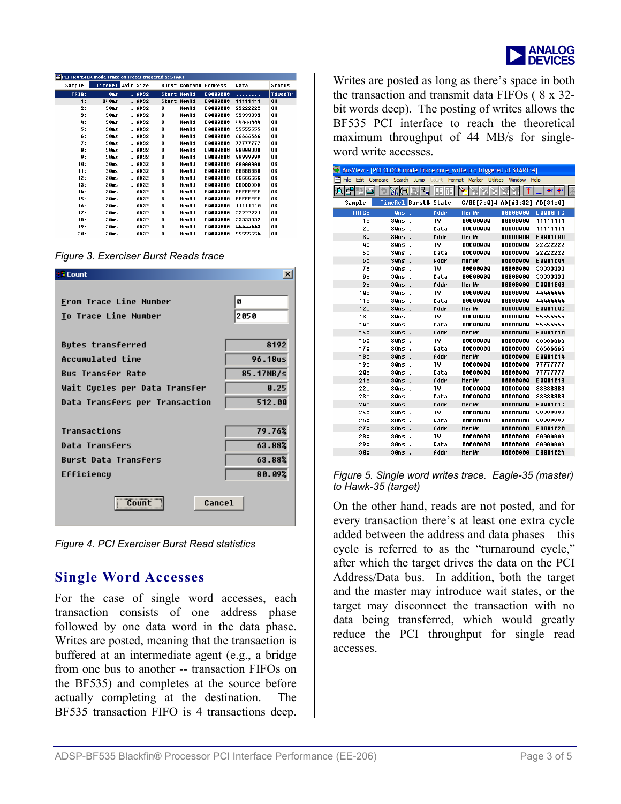

<span id="page-2-0"></span>

| 圍<br>PCI TRANSFER mode Trace on Tracer triggered at START |                   |          |   |                              |                  |                  |         |
|-----------------------------------------------------------|-------------------|----------|---|------------------------------|------------------|------------------|---------|
| Sample                                                    | TimeRel Wait Size |          |   | <b>Burst Command Address</b> |                  | Data             | Status  |
| <b>TRIG:</b>                                              | 0 <sub>n</sub>    | $-$ AD32 |   | <b>Start MemRd</b>           | E0000000         | .                | TdwodTr |
| 1:                                                        | 840ns             | $-$ AD32 |   | Start MemRd                  | <b>E0000000</b>  | 11111111         | 0K      |
| 2:                                                        | 30ns              | $-$ AD32 | в | MemRd                        | E GABARAO        | 22222222         | 0K      |
| 3:                                                        | 30ns              | . ADS2   | R | MemRd                        | E0000000         | 33333333         | 0K      |
| 4:                                                        | 30ns              | . AD32   | B | MemRd                        | <b>E0000000</b>  | 44444444         | 0K      |
| 5:                                                        | 30ns              | . AD32   | B | MemRd                        | E GABARAO        | 55555555         | 0K      |
| 6:                                                        | 30ns              | . ADB2   | B | MemRd                        | E0000000         | 66666666         | OK      |
| 7:                                                        | 30ns              | . AD32   | B | MemRd                        | <b>FAAAAAAA</b>  | 77777777         | 0K      |
| 8:                                                        | 30ns              | - AD32   | в | MemRd                        | E GABARAG        | 88888888         | OK      |
| 9:                                                        | 30ns              | . ADB2   | R | MemRd                        | FAAAAAAA         | 99999999         | OK      |
| 10:                                                       | 30ns              | . AD32   | B | MemRd                        | <b>E0000000</b>  | AAAAAAAA         | 0K      |
| 11:                                                       | 30ns              | - AD32   | в | MemRd                        | E GABADAO        | <b>BBBBBBBB</b>  | 0K      |
| 12:                                                       | 30ns              | $-$ AD32 | B | MenRd                        | E0000000         | cccccccc         | OK      |
| 13:                                                       | 30ns              | . AD32   | B | MemRd                        | <b>E0000000</b>  | <b>DDDDDDDD</b>  | 0K      |
| 14:                                                       | 30ns              | - AD32   | B | MemRd                        | E GABARAG        | <b>FFFFFFFFF</b> | 0K      |
| 15:                                                       | 30ns              | . AD32   | B | MenRd                        | E0000000         | <b>FFFFFFFF</b>  | 0K      |
| 16:                                                       | 30ns              | . AD32   | B | MemRd                        | <b>E 8888888</b> | 11111118         | OK      |
| 17:                                                       | 30ns              | . AD32   | B | MemRd                        | EAAAAAAA         | 22222221         | 0K      |
| 18:                                                       | 30ns              | . AD32   | B | MenRd                        | E0000000         | 33333332         | 0K      |
| 19:                                                       | 30ns              | $-$ AD32 | B | MemRd                        | <b>E 8888888</b> | 44444443         | 0K      |
| 28:                                                       | 30ns              | . AD32   | B | MemRd                        | EAAAAAAA         | 55555554         | lok.    |

*Figure 3. Exerciser Burst Reads trace* 

<span id="page-2-1"></span>

| <b>I</b> Count                 | ×         |
|--------------------------------|-----------|
|                                |           |
| From Trace Line Number         | Ø         |
| To Trace Line Number           | 2050      |
|                                |           |
| Butes transferred              | 8192      |
| Accumulated time               | 96.18us   |
| <b>Bus Transfer Rate</b>       | 85.17MB/s |
| Wait Cucles per Data Transfer  | 0.25      |
| Data Transfers per Transaction | 512.00    |
|                                |           |
| Transactions                   | 79.76%    |
| Data Transfers                 | 63.88%    |
| <b>Burst Data Transfers</b>    | 63.88%    |
| Efficiency                     | 80.09%    |
| Cancel                         |           |

*Figure 4. PCI Exerciser Burst Read statistics* 

## **Single Word Accesses**

For the case of single word accesses, each transaction consists of one address phase followed by one data word in the data phase. Writes are posted, meaning that the transaction is buffered at an intermediate agent (e.g., a bridge from one bus to another -- transaction FIFOs on the BF535) and completes at the source before actually completing at the destination. The BF535 transaction FIFO is 4 transactions deep.

Writes are posted as long as there's space in both the transaction and transmit data FIFOs ( 8 x 32 bit words deep). The posting of writes allows the BF535 PCI interface to reach the theoretical maximum throughput of 44 MB/s for singleword write accesses.

|               | BusView - [PCI CLOCK mode Trace core write.trc triggered at START:4] |      |                               |                 |                 |
|---------------|----------------------------------------------------------------------|------|-------------------------------|-----------------|-----------------|
| File<br>睴     | Edit Compare Search Jump Count Format Marker Utilities               |      |                               | Window Help     |                 |
| đ٩<br>曲っ<br>s | ۹,<br>W⊪                                                             |      |                               |                 | 耓<br>7. ≩?      |
| Sample        | TimeRel Burst# State                                                 |      | C/BE[7:0]# AD[63:32] AD[31:0] |                 |                 |
| TRIG:         | 0ns                                                                  | Addr | MemWr                         | 00000000        | <b>E0000FFC</b> |
| 1:            | 30ns                                                                 | ТW   | 88888888                      | 00000000        | 11111111        |
| 2:            | 30ns                                                                 | Data | 80080080                      | 00000000        | 11111111        |
| 3:            | 30ns                                                                 | Addr | MemWr                         | 00000000        | E0001000        |
| 4:            | 30ns                                                                 | ТW   | 80080080                      | 00000000        | 22222222        |
| 5:            | 30ns                                                                 | Data | 80080080                      | 00000000        | 22222222        |
| 6:            | 30ns                                                                 | Addr | Memlir                        | 00000000        | E0001004        |
| 7:            | 30ns                                                                 | ТW   | 80080080                      | 00000000        | 33333333        |
| 8:            | 30ns                                                                 | Data | 00000000                      | 00000000        | 33333333        |
| 9:            | 30ns                                                                 | Addr | Memlir                        | 00000000        | E0001008        |
| 10:           | 30ns                                                                 | ТW   | 00000000                      | 00000000        | 44444444        |
| 11:           | 30ns                                                                 | Data | 00000000                      | 00000000        | 44444444        |
| 12:           | 30ns                                                                 | Addr | Memlir                        | 00000000        | E000100C        |
| 13:           | 30ns                                                                 | ТW   | 00000000                      | 00000000        | 55555555        |
| 14:           | 30ns                                                                 | Data | 00000000                      | 00000000        | 55555555        |
| 15:           | 30ns                                                                 | Addr | MemWr                         | 00000000        | E0001010        |
| 16:           | 30ns                                                                 | ТW   | 00000000                      | 00000000        | 66666666        |
| 17:           | 30ns                                                                 | Data | ANAANAAA                      | 00000000        | 66666666        |
| 18:           | 30ns                                                                 | Addr | MemWr                         | 00000000        | E0001014        |
| 19:           | 30ns                                                                 | TW   | ANAANAAA                      | 00000000        | 77777777        |
| 20:           | 30ns                                                                 | Data | ANAANAAA                      | 00000000        | 77777777        |
| 21:           | 30ns                                                                 | Addr | MemWr                         | 00000000        | E0001018        |
| 22:           | 30ns                                                                 | TW   | <b>ANAANAAN</b>               | <b>ARAAAAAA</b> | 88888888        |
| 23:           | 30ns                                                                 | Data | <b>ANAANAAN</b>               | <b>ARAAAAAA</b> | 88888888        |
| 24:           | 30ns                                                                 | Addr | MemWr                         | 00000000        | E000101C        |
| 25:           | 30ns                                                                 | TW   | annannan                      | <b>ARAAAAAA</b> | 99999999        |
| 26:           | 30ns                                                                 | Data | 88888888                      | aaaaaaaa        | 99999999        |
| 27:           | 30ns                                                                 | Addr | MemWr                         | 00000000        | E0001020        |
| 28:           | 30ns                                                                 | ТW   | 88888888                      | 88888888        | 88888888        |
| 29:           | 30ns                                                                 | Data | 88888888                      | 88888888        | <b>AAAAAAAA</b> |
| 30:           | 30ns                                                                 | Addr | MemWr                         | 00000000        | E0001024        |
|               |                                                                      |      |                               |                 |                 |

#### *Figure 5. Single word writes trace. Eagle-35 (master) to Hawk-35 (target)*

On the other hand, reads are not posted, and for every transaction there's at least one extra cycle added between the address and data phases – this cycle is referred to as the "turnaround cycle," after which the target drives the data on the PCI Address/Data bus. In addition, both the target and the master may introduce wait states, or the target may disconnect the transaction with no data being transferred, which would greatly reduce the PCI throughput for single read accesses.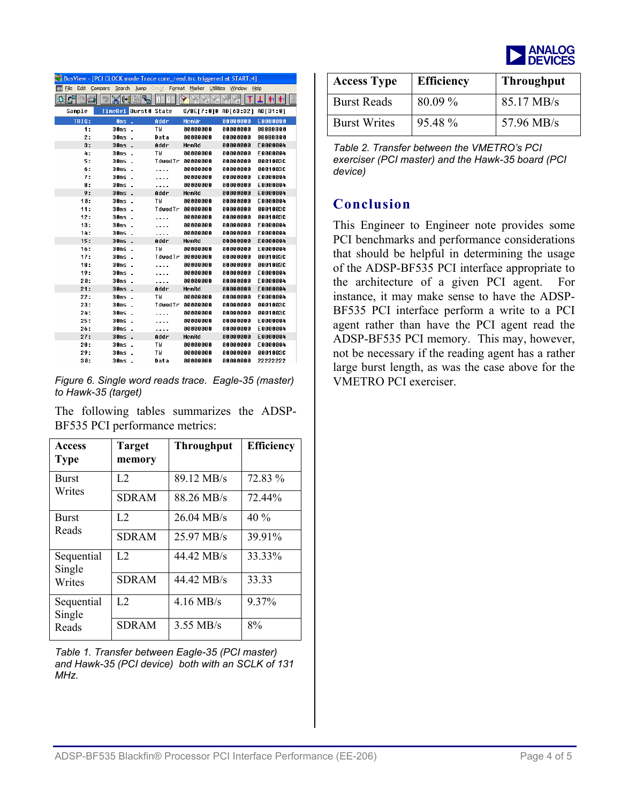

|                  | BusView - [PC] CLOCK mode Trace core_read.trc triggered at START:4] |           |                               |             |                 |
|------------------|---------------------------------------------------------------------|-----------|-------------------------------|-------------|-----------------|
| 匾                | File Edit Compare Search Jump Count Format Marker Utilities         |           |                               | Window Help |                 |
| $\sigma$ B<br>明っ | M∙<br>٠ę.                                                           |           |                               |             | Ŧт              |
| Sample           | TimeRel Burst# State                                                |           | C/BE[7:0]# AD[63:32] AD[31:0] |             |                 |
| <b>TRIG:</b>     | Ons<br>÷.                                                           | Addr      | MemWr                         | 00000000    | <b>E0000000</b> |
| 1:               | 30ns                                                                | TW        | 00000000                      | 00000000    | 88888800        |
| 2:               | 30ns                                                                | Data      | 00000000                      | 00000000    | 88888800        |
| 3:               | 30ns<br>٠.                                                          | Addr      | MemRd                         | 00000000    | E0000004        |
| 4:               | 30ns                                                                | TW        | 00000000                      | 00000000    | E 0000004       |
| 5:               | 30ns                                                                | TdwodTr   | 00000000                      | 88008888    | 8801803C        |
| б:               | 30ns                                                                |           | 00000000                      | 00000000    | <b>8801883C</b> |
| 7:               | 30ns                                                                |           | 00000000                      | 00000000    | E0000004        |
| 8:               | 30ns                                                                | .         | 00000000                      | 00000000    | E0000004        |
| 9:               | 30ns                                                                | Addr      | MemRd                         | 00000000    | E0000004        |
| 10:              | 30ns .                                                              | ΤW        | 00000000                      | 00000000    | E0000004        |
| 11:              | 30ns                                                                | TdwodTr   | 00000000                      | 00000000    | 0001003C        |
| 12:              | 30ns                                                                |           | 00000000                      | 00000000    | 0001003C        |
| 13:              | 30ns                                                                |           | 00000000                      | 00000000    | E0000004        |
| 14:              | 30ns                                                                | .         | 00000000                      | 00000000    | E0000004        |
| 15:              | $30ns$ .                                                            | Addr      | MemRd                         | 00000000    | E0000004        |
| 16:              | 30ns .                                                              | TW        | 00000000                      | 00000000    | E0000004        |
| 17:              | $30ns$ .                                                            | TdwodTr   | 00000000                      | 00000000    | 8881883C        |
| 18:              | $30ns$ .                                                            |           | 00000000                      | 88008808    | 8801883C        |
| 19:              | 30ns                                                                | $\ddotsc$ | 00000000                      | 00000000    | E0000004        |
| 20:              | 30ns                                                                | .         | 00000000                      | 00000000    | E0000004        |
| 21:              | 30ns<br>ł.                                                          | Addr      | MemRd                         | 00000000    | E0000004        |
| 22:              | 30ns                                                                | ΤW        | 00000000                      | 00000000    | E0000004        |
| 23:              | 30ns                                                                | TdwodTr   | 00000000                      | 00000000    | <b>8801883C</b> |
| 24:              | 30ns                                                                |           | 00000000                      | 00000000    | 0001003C        |
| 25:              | 30ns                                                                |           | 00000000                      | 00000000    | E0000004        |
| 26:              | 30ns                                                                |           | 00000000                      | 00000000    | E0000004        |
| 27:              | 30ns<br>l,                                                          | Addr      | MemRd                         | 00000000    | E0000004        |
| 28:              | 30ns                                                                | TW        | 00000000                      | 00000000    | E0000004        |
| 29:              | 30ns                                                                | ΤW        | 00000000                      | 00000000    | 0001003C        |
| 38:              | 30ns                                                                | Data      | 00000000                      | 88008808    | 22222222        |

*Figure 6. Single word reads trace. Eagle-35 (master)* VMETRO PCI exerciser. *to Hawk-35 (target)* 

The following tables summarizes the ADSP-BF535 PCI performance metrics:

| <b>Access</b><br><b>Type</b> | <b>Target</b><br>memory | <b>Throughput</b>    | <b>Efficiency</b> |
|------------------------------|-------------------------|----------------------|-------------------|
| <b>Burst</b>                 | L <sub>2</sub>          | 89.12 MB/s           | 72.83 %           |
| Writes                       | <b>SDRAM</b>            | 88.26 MB/s           | 72.44%            |
| <b>Burst</b>                 | L2                      | $26.04 \text{ MB/s}$ | $40\%$            |
| Reads                        | <b>SDRAM</b>            | 25.97 MB/s           | 39.91%            |
| Sequential<br>Single         | L2                      | 44.42 MB/s           | 33.33%            |
| Writes                       | <b>SDRAM</b>            | 44.42 MB/s           | 33.33             |
| Sequential<br>Single         | L <sub>2</sub>          | $4.16$ MB/s          | 9.37%             |
| Reads                        | <b>SDRAM</b>            | $3.55$ MB/s          | 8%                |

<span id="page-3-0"></span>*Table 1. Transfer between Eagle-35 (PCI master) and Hawk-35 (PCI device) both with an SCLK of 131 MHz.* 

| <b>Access Type</b>  | <b>Efficiency</b> | <b>Throughput</b>    |
|---------------------|-------------------|----------------------|
| <b>Burst Reads</b>  | 80.09 %           | $85.17 \text{ MB/s}$ |
| <b>Burst Writes</b> | 95.48 %           | 57.96 MB/s           |

*Table 2. Transfer between the VMETRO's PCI exerciser (PCI master) and the Hawk-35 board (PCI device)* 

#### **Conclusion**

This Engineer to Engineer note provides some PCI benchmarks and performance considerations that should be helpful in determining the usage of the ADSP-BF535 PCI interface appropriate to the architecture of a given PCI agent. For instance, it may make sense to have the ADSP-BF535 PCI interface perform a write to a PCI agent rather than have the PCI agent read the ADSP-BF535 PCI memory. This may, however, not be necessary if the reading agent has a rather large burst length, as was the case above for the